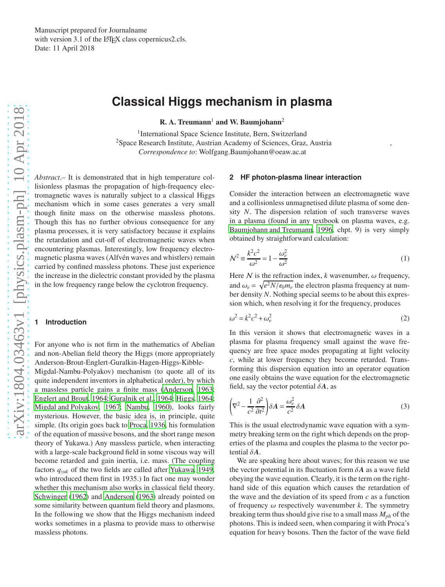# **Classical Higgs mechanism in plasma**

 $R. A. Treumann<sup>1</sup>$  and W. Baumjohann<sup>2</sup>

<sup>1</sup>International Space Science Institute, Bern, Switzerland <sup>2</sup>Space Research Institute, Austrian Academy of Sciences, Graz, Austria *Correspondence to*: Wolfgang.Baumjohann@oeaw.ac.at

*Abstract*.– It is demonstrated that in high temperature collisionless plasmas the propagation of high-frequency electromagnetic waves is naturally subject to a classical Higgs mechanism which in some cases generates a very small though finite mass on the otherwise massless photons. Though this has no further obvious consequence for any plasma processes, it is very satisfactory because it explains the retardation and cut-off of electromagnetic waves when encountering plasmas. Interestingly, low frequency electromagnetic plasma waves (Alfvén waves and whistlers) remain carried by confined massless photons. These just experience the increase in the dielectric constant provided by the plasma in the low frequency range below the cyclotron frequency.

# **1 Introduction**

For anyone who is not firm in the mathematics of Abelian and non-Abelian field theory the Higgs (more appropriately Anderson-Brout-Englert-Guralkin-Hagen-Higgs-Kibble-

Migdal-Nambu-Polyakov) mechanism (to quote all of its quite independent inventors in alphabetical order), by which a massless particle gains a finite mass [\(Anderson, 1963;](#page-4-0) [Englert and Brout, 1964;](#page-4-1) [Guralnik et al., 1964;](#page-4-2) [Higgs, 1964;](#page-4-3) [Migdal and Polyakov, 1967;](#page-4-4) [Nambu](#page-4-5), [1960\)](#page-4-5), looks fairly mysterious. However, the basic idea is, in principle, quite simple. (Its origin goes back to [Proca, 1936](#page-4-6), his formulation of the equation of massive bosons, and the short range meson theory of Yukawa.) Any massless particle, when interacting with a large-scale background field in some viscous way will become retarded and gain inertia, i.e. mass. (The coupling factors *qyuk* of the two fields are called after [Yukawa, 1949,](#page-4-7) who introduced them first in 1935.) In fact one may wonder whether this mechanism also works in classical field theory. [Schwinger](#page-4-8) [\(1962\)](#page-4-8) and [Anderson \(1963](#page-4-0)) already pointed on some similarity between quantum field theory and plasmons. In the following we show that the Higgs mechanism indeed works sometimes in a plasma to provide mass to otherwise massless photons.

### **2 HF photon-plasma linear interaction**

Consider the interaction between an electromagnetic wave and a collisionless unmagnetised dilute plasma of some density *N*. The dispersion relation of such transverse waves in a plasma (found in any textbook on plasma waves, e.g. [Baumjohann and Treumann](#page-4-9), [1996,](#page-4-9) chpt. 9) is very simply obtained by straightforward calculation:

$$
\mathcal{N}^2 \equiv \frac{k^2 c^2}{\omega^2} = 1 - \frac{\omega_e^2}{\omega^2} \tag{1}
$$

Here  $N$  is the refraction index,  $k$  wavenumber,  $\omega$  frequency, and  $\omega_e = \sqrt{e^2 N/\epsilon_0 m_e}$  the electron plasma frequency at number density *N*. Nothing special seems to be about this expression which, when resolving it for the frequency, produces

$$
\omega^2 = k^2 c^2 + \omega_e^2 \tag{2}
$$

In this version it shows that electromagnetic waves in a plasma for plasma frequency small against the wave frequency are free space modes propagating at light velocity *c*, while at lower frequency they become retarded. Transforming this dispersion equation into an operator equation one easily obtains the wave equation for the electromagnetic field, say the vector potential  $\delta A$ , as

$$
\left(\nabla^2 - \frac{1}{c^2} \frac{\partial^2}{\partial t^2}\right) \delta A = \frac{\omega_e^2}{c^2} \delta A \tag{3}
$$

This is the usual electrodynamic wave equation with a symmetry breaking term on the right which depends on the properties of the plasma and couples the plasma to the vector potential δ*A*.

We are speaking here about waves; for this reason we use the vector potential in its fluctuation form  $\delta A$  as a wave field obeying the wave equation. Clearly, it is the term on the righthand side of this equation which causes the retardation of the wave and the deviation of its speed from *c* as a function of frequency  $\omega$  respectively wavenumber  $k$ . The symmetry breaking term thus should give rise to a small mass *Mph* of the photons. This is indeed seen, when comparing it with Proca's equation for heavy bosons. Then the factor of the wave field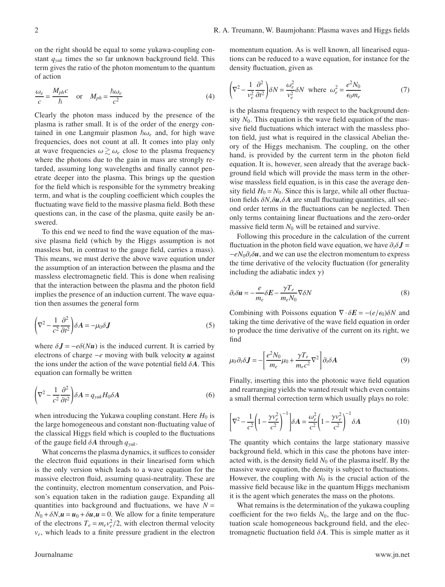on the right should be equal to some yukawa-coupling constant *qyuk* times the so far unknown background field. This term gives the ratio of the photon momentum to the quantum of action

$$
\frac{\omega_e}{c} = \frac{M_{ph}c}{\hbar} \quad \text{or} \quad M_{ph} = \frac{\hbar\omega_e}{c^2} \tag{4}
$$

Clearly the photon mass induced by the presence of the plasma is rather small. It is of the order of the energy contained in one Langmuir plasmon  $\hbar \omega_e$  and, for high wave frequencies, does not count at all. It comes into play only at wave frequencies  $\omega \gtrsim \omega_e$  close to the plasma frequency where the photons due to the gain in mass are strongly retarded, assuming long wavelengths and finally cannot penetrate deeper into the plasma. This brings up the question for the field which is responsible for the symmetry breaking term, and what is the coupling coefficient which couples the fluctuating wave field to the massive plasma field. Both these questions can, in the case of the plasma, quite easily be answered.

To this end we need to find the wave equation of the massive plasma field (which by the Higgs assumption is not massless but, in contrast to the gauge field, carries a mass). This means, we must derive the above wave equation under the assumption of an interaction between the plasma and the massless electromagnetic field. This is done when realising that the interaction between the plasma and the photon field implies the presence of an induction current. The wave equation then assumes the general form

$$
\left(\nabla^2 - \frac{1}{c^2} \frac{\partial^2}{\partial t^2}\right) \delta A = -\mu_0 \delta J \tag{5}
$$

where  $\delta \mathbf{J} = -e\delta(N\mathbf{u})$  is the induced current. It is carried by electrons of charge <sup>−</sup>*<sup>e</sup>* moving with bulk velocity *<sup>u</sup>* against the ions under the action of the wave potential field  $\delta A$ . This equation can formally be written

$$
\left(\nabla^2 - \frac{1}{c^2} \frac{\partial^2}{\partial t^2}\right) \delta A = q_{yuk} H_0 \delta A \tag{6}
$$

when introducing the Yukawa coupling constant. Here  $H_0$  is the large homogeneous and constant non-fluctuating value of the classical Higgs field which is coupled to the fluctuations of the gauge field δ*A* through *qyuk*.

What concerns the plasma dynamics, it suffices to consider the electron fluid equations in their linearised form which is the only version which leads to a wave equation for the massive electron fluid, assuming quasi-neutrality. These are the continuity, electron momentum conservation, and Poisson's equation taken in the radiation gauge. Expanding all quantities into background and fluctuations, we have  $N =$  $N_0 + \delta N$ ,  $\mathbf{u} = \mathbf{u}_0 + \delta \mathbf{u}$ ,  $\mathbf{u} = 0$ . We allow for a finite temperature of the electrons  $T_e = m_e v_e^2 / 2$ , with electron thermal velocity *ve*, which leads to a finite pressure gradient in the electron momentum equation. As is well known, all linearised equations can be reduced to a wave equation, for instance for the density fluctuation, given as

$$
\left(\nabla^2 - \frac{1}{v_e^2} \frac{\partial^2}{\partial t^2}\right) \delta N = \frac{\omega_e^2}{v_e^2} \delta N \text{ where } \omega_e^2 = \frac{e^2 N_0}{\epsilon_0 m_e} \tag{7}
$$

is the plasma frequency with respect to the background density  $N_0$ . This equation is the wave field equation of the massive field fluctuations which interact with the massless photon field, just what is required in the classical Abelian theory of the Higgs mechanism. The coupling, on the other hand, is provided by the current term in the photon field equation. It is, however, seen already that the average background field which will provide the mass term in the otherwise massless field equation, is in this case the average density field  $H_0 = N_0$ . Since this is large, while all other fluctuation fields  $\delta N$ ,  $\delta u$ ,  $\delta A$  are small fluctuating quantities, all second order terms in the fluctuations can be neglected. Then only terms containing linear fluctuations and the zero-order massive field term  $N_0$  will be retained and survive.

Following this procedure in the calculation of the current fluctuation in the photon field wave equation, we have  $\partial_t \delta \mathbf{J} =$  $-eN_0\partial_t\delta\mathbf{u}$ , and we can use the electron momentum to express the time derivative of the velocity fluctuation (for generality including the adiabatic index  $\gamma$ )

$$
\partial_t \delta u = -\frac{e}{m_e} \delta E - \frac{\gamma T_e}{m_e N_0} \nabla \delta N \tag{8}
$$

Combining with Poissons equation  $\nabla \cdot \delta E = -(e/\epsilon_0) \delta N$  and taking the time derivative of the wave field equation in order to produce the time derivative of the current on its right, we find

$$
\mu_0 \partial_t \delta \mathbf{J} = -\left[\frac{e^2 N_0}{m_e} \mu_0 + \frac{\gamma T_e}{m_e c^2} \nabla^2\right] \partial_t \delta A \tag{9}
$$

Finally, inserting this into the photonic wave field equation and rearranging yields the wanted result which even contains a small thermal correction term which usually plays no role:

$$
\left[\nabla^2 - \frac{1}{c^2} \left(1 - \frac{\gamma v_e^2}{c^2}\right)^{-1}\right] \delta A = \frac{\omega_e^2}{c^2} \left(1 - \frac{\gamma v_e^2}{c^2}\right)^{-1} \delta A \tag{10}
$$

The quantity which contains the large stationary massive background field, which in this case the photons have interacted with, is the density field  $N_0$  of the plasma itself. By the massive wave equation, the density is subject to fluctuations. However, the coupling with  $N_0$  is the crucial action of the massive field because like in the quantum Higgs mechanism it is the agent which generates the mass on the photons.

What remains is the determination of the yukawa coupling coefficient for the two fields  $N_0$ , the large and on the fluctuation scale homogeneous background field, and the electromagnetic fluctuation field  $\delta A$ . This is simple matter as it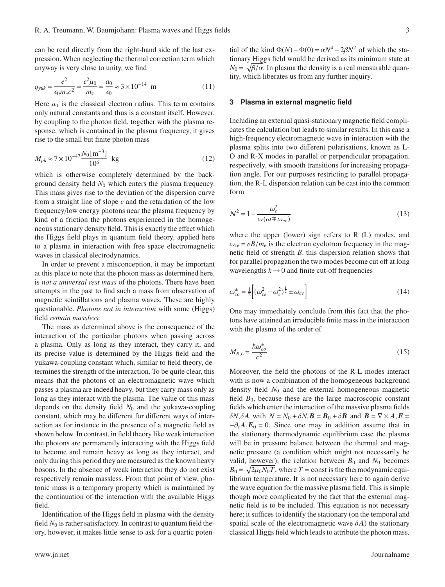can be read directly from the right-hand side of the last expression. When neglecting the thermal correction term which anyway is very close to unity, we find

$$
q_{yuk} = \frac{e^2}{\epsilon_0 m_e c^2} = \frac{e^2 \mu_0}{m_e} = \frac{a_0}{\epsilon_0} \approx 3 \times 10^{-14} \text{ m}
$$
 (11)

Here  $a_0$  is the classical electron radius. This term contains only natural constants and thus is a constant itself. However, by coupling to the photon field, together with the plasma response, which is contained in the plasma frequency, it gives rise to the small but finite photon mass

$$
M_{ph} \approx 7 \times 10^{-47} \frac{N_0 \,\mathrm{[m^{-3}]}}{10^6} \text{ kg}
$$
 (12)

which is otherwise completely determined by the background density field *N*<sup>0</sup> which enters the plasma frequency. This mass gives rise to the deviation of the dispersion curve from a straight line of slope *c* and the retardation of the low frequency/low energy photons near the plasma frequency by kind of a friction the photons experienced in the homogeneous stationary density field. This is exactly the effect which the Higgs field plays in quantum field theory, applied here to a plasma in interaction with free space electromagnetic waves in classical electrodynamics.

In order to prevent a misconception, it may be important at this place to note that the photon mass as determined here, is *not a universal rest mass* of the photons. There have been attempts in the past to find such a mass from observation of magnetic scintillations and plasma waves. These are highly questionable. *Photons not in interaction* with some (Higgs) field *remain massless.*

The mass as determined above is the consequence of the interaction of the particular photons when passing across a plasma. Only as long as they interact, they carry it, and its precise value is determined by the Higgs field and the yukawa-coupling constant which, similar to field theory, determines the strength of the interaction. To be quite clear, this means that the photons of an electromagnetic wave which passes a plasma are indeed heavy, but they carry mass only as long as they interact with the plasma. The value of this mass depends on the density field *N*<sup>0</sup> and the yukawa-coupling constant, which may be different for different ways of interaction as for instance in the presence of a magnetic field as shown below. In contrast, in field theory like weak interaction the photons are permanently interacting with the Higgs field to become and remain heavy as long as they interact, and only during this period they are measured as the known heavy bosons. In the absence of weak interaction they do not exist respectively remain massless. From that point of view, photonic mass is a temporary property which is maintained by the continuation of the interaction with the available Higgs field.

Identification of the Higgs field in plasma with the density field  $N_0$  is rather satisfactory. In contrast to quantum field theory, however, it makes little sense to ask for a quartic poten-

tial of the kind  $\Phi(N) - \Phi(0) = \alpha N^4 - 2\beta N^2$  of which the stationary Higgs field would be derived as its minimum state at  $N_0 = \sqrt{\beta/\alpha}$ . In plasma the density is a real measurable quantity, which liberates us from any further inquiry.

# **3 Plasma in external magnetic field**

Including an external quasi-stationary magnetic field complicates the calculation but leads to similar results. In this case a high-frequency electromagnetic wave in interaction with the plasma splits into two different polarisations, known as L-O and R-X modes in parallel or perpendicular propagation, respectively, with smooth transitions for increasing propagation angle. For our purposes restricting to parallel propagation, the R-L dispersion relation can be cast into the common form

$$
\mathcal{N}^2 = 1 - \frac{\omega_e^2}{\omega(\omega \mp \omega_{ce})}
$$
(13)

where the upper (lower) sign refers to R (L) modes, and  $\omega_{ce} = eB/m_e$  is the electron cyclotron frequency in the magnetic field of strength *B*. this dispersion relation shows that for parallel propagation the two modes become cut off at long wavelengths  $k \rightarrow 0$  and finite cut-off frequencies

$$
\omega_{co}^{\pm} = \frac{1}{2} \left[ (\omega_{ce}^2 + \omega_e^2)^{\frac{1}{2}} \pm \omega_{ce} \right]
$$
 (14)

One may immediately conclude from this fact that the photons have attained an irreducible finite mass in the interaction with the plasma of the order of

$$
M_{R,L} = \frac{\hbar \omega_{co}^{\pm}}{c^2} \tag{15}
$$

Moreover, the field the photons of the R-L modes interact with is now a combination of the homogeneous background density field *N*<sup>0</sup> and the external homogeneous magnetic field  $B_0$ , because these are the large macroscopic constant fields which enter the interaction of the massive plasma fields  $δN, δA$  with  $N = N_0 + δN$ ,  $\mathbf{B} = \mathbf{B}_0 + δ\mathbf{B}$  and  $\mathbf{B} = \nabla \times A$ ,  $\mathbf{E} =$  $-\partial_t A$ , $E_0 = 0$ . Since one may in addition assume that in the stationary thermodynamic equilibrium case the plasma will be in pressure balance between the thermal and magnetic pressure (a condition which might not necessarily be valid, however), the relation between  $B_0$  and  $N_0$  becomes  $B_0 = \sqrt{2\mu_0 N_0 T}$ , where *T* = const is the thermodynamic equilibrium temperature. It is not necessary here to again derive the wave equation for the massive plasma field. This is simple though more complicated by the fact that the external magnetic field is to be included. This equation is not necessary here; it suffices to identify the stationary (on the temporal and spatial scale of the electromagnetic wave  $\delta A$ ) the stationary classical Higgs field which leads to attribute the photon mass.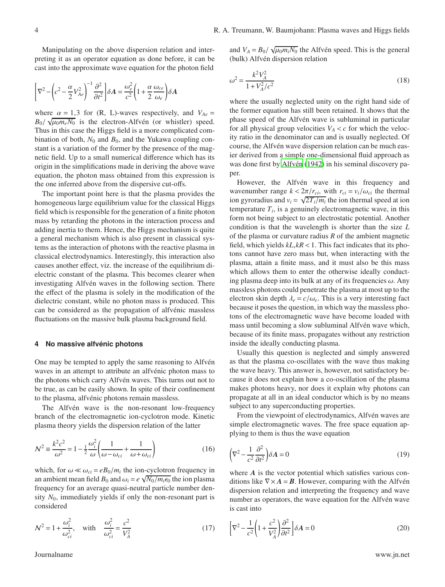Manipulating on the above dispersion relation and interpreting it as an operator equation as done before, it can be cast into the approximate wave equation for the photon field

$$
\left[\nabla^2 - \left(c^2 - \frac{\alpha}{2}V_{Ae}^2\right)^{-1} \frac{\partial^2}{\partial t^2}\right] \delta A = \frac{\omega_e^2}{c^2} \left(1 + \frac{\alpha}{2} \frac{\omega_{ce}}{\omega_e}\right) \delta A
$$

where  $\alpha = 1,3$  for (R, L)-waves respectively, and  $V_{Ae}$  $B_0/\sqrt{\mu_0 m_e N_0}$  is the electron-Alfvén (or whistler) speed. Thus in this case the Higgs field is a more complicated combination of both,  $N_0$  and  $B_0$ , and the Yukawa coupling constant is a variation of the former by the presence of the magnetic field. Up to a small numerical difference which has its origin in the simplifications made in deriving the above wave equation, the photon mass obtained from this expression is the one inferred above from the dispersive cut-offs.

The important point here is that the plasma provides the homogeneous large equilibrium value for the classical Higgs field which is responsible for the generation of a finite photon mass by retarding the photons in the interaction process and adding inertia to them. Hence, the Higgs mechanism is quite a general mechanism which is also present in classical systems as the interaction of photons with the reactive plasma in classical electrodynamics. Interestingly, this interaction also causes another effect, viz. the increase of the equilibrium dielectric constant of the plasma. This becomes clearer when investigating Alfvén waves in the following section. There the effect of the plasma is solely in the modification of the dielectric constant, while no photon mass is produced. This can be considered as the propagation of alfvénic massless fluctuations on the massive bulk plasma background field.

#### **4 No massive alfvénic photons**

One may be tempted to apply the same reasoning to Alfvén waves in an attempt to attribute an alfvénic photon mass to the photons which carry Alfvén waves. This turns out not to be true, as can be easily shown. In spite of their confinement to the plasma, alfvénic photons remain massless.

The Alfvén wave is the non-resonant low-frequency branch of the electromagnetic ion-cyclotron mode. Kinetic plasma theory yields the dispersion relation of the latter

$$
\mathcal{N}^2 \equiv \frac{k^2 c^2}{\omega^2} = 1 - \frac{1}{2} \frac{\omega_i^2}{\omega} \left( \frac{1}{\omega - \omega_{ci}} + \frac{1}{\omega + \omega_{ci}} \right)
$$
(16)

which, for  $\omega \ll \omega_{ci} = eB_0/m_i$  the ion-cyclotron frequency in an ambient mean field  $B_0$  and  $\omega_i = e \sqrt{N_0/m_i \epsilon_0}$  the ion plasma frequency for an average quasi-neutral particle number density  $N_0$ , immediately yields if only the non-resonant part is considered

$$
\mathcal{N}^2 = 1 + \frac{\omega_i^2}{\omega_{ci}^2}, \quad \text{with} \quad \frac{\omega_i^2}{\omega_{ci}^2} = \frac{c^2}{V_A^2} \tag{17}
$$

and  $V_A = B_0 / \sqrt{\mu_0 m_i N_0}$  the Alfvén speed. This is the general (bulk) Alfvén dispersion relation

$$
\omega^2 = \frac{k^2 V_A^2}{1 + V_A^2/c^2}
$$
\n(18)

where the usually neglected unity on the right hand side of the former equation has still been retained. It shows that the phase speed of the Alfvén wave is subluminal in particular for all physical group velocities  $V_A < c$  for which the velocity ratio in the denominator can and is usually neglected. Of course, the Alfvén wave dispersion relation can be much easier derived from a simple one-dimensional fluid approach as was done first by [Alfvén \(1942\)](#page-4-10) in his seminal discovery paper.

However, the Alfvén wave in this frequency and wavenumber range  $k < 2\pi/r_{ci}$ , with  $r_{ci} = v_i/\omega_{ci}$  the thermal ion gyroradius and  $v_i = \sqrt{2T_i/m_i}$  the ion thermal speed at ion temperature  $T_i$ , is a genuinely electromagnetic wave, in this form not being subject to an electrostatic potential. Another condition is that the wavelength is shorter than the size *L* of the plasma or curvature radius *R* of the ambient magnetic field, which yields *kL*,*kR* < 1. This fact indicates that its photons cannot have zero mass but, when interacting with the plasma, attain a finite mass, and it must also be this mass which allows them to enter the otherwise ideally conducting plasma deep into its bulk at any of its frequencies  $\omega$ . Any massless photons could penetrate the plasma at most up to the electron skin depth  $\lambda_e = c/\omega_e$ . This is a very interesting fact because it poses the question, in which way the massless photons of the electromagnetic wave have become loaded with mass until becoming a slow subluminal Alfvén wave which, because of its finite mass, propagates without any restriction inside the ideally conducting plasma.

Usually this question is neglected and simply answered as that the plasma co-oscillates with the wave thus making the wave heavy. This answer is, however, not satisfactory because it does not explain how a co-oscillation of the plasma makes photons heavy, nor does it explain why photons can propagate at all in an ideal conductor which is by no means subject to any superconducting properties.

From the viewpoint of electrodynamics, Alfvén waves are simple electromagnetic waves. The free space equation applying to them is thus the wave equation

$$
\left(\nabla^2 - \frac{1}{c^2} \frac{\partial^2}{\partial t^2}\right) \delta A = 0
$$
\n(19)

where *A* is the vector potential which satisfies various conditions like  $\nabla \times A = B$ . However, comparing with the Alfvén dispersion relation and interpreting the frequency and wave number as operators, the wave equation for the Alfvén wave is cast into

$$
\left[\nabla^2 - \frac{1}{c^2} \left(1 + \frac{c^2}{V_A^2}\right) \frac{\partial^2}{\partial t^2}\right] \delta A = 0
$$
\n(20)